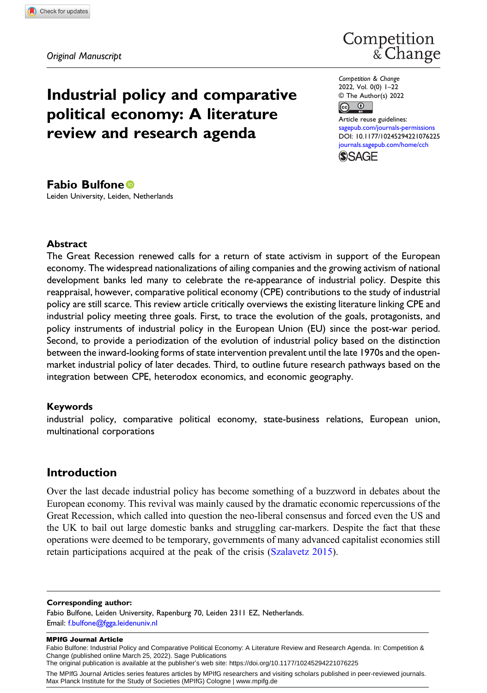# Competition<br>& Change

# Industrial policy and comparative political economy: A literature review and research agenda

Competition & Change 2022, Vol. 0(0) 1–22 © The Author(s) 2022

 $\bigodot$   $\bigodot$ 

Article reuse guidelines: [sagepub.com/journals-permissions](https://uk.sagepub.com/en-gb/journals-permissions) DOI: [10.1177/10245294221076225](https://doi.org/10.1177/10245294221076225) [journals.sagepub.com/home/cch](https://journals.sagepub.com/home/cch)



### Fabio Bulfone

Leiden University, Leiden, Netherlands

#### **Abstract**

The Great Recession renewed calls for a return of state activism in support of the European economy. The widespread nationalizations of ailing companies and the growing activism of national development banks led many to celebrate the re-appearance of industrial policy. Despite this reappraisal, however, comparative political economy (CPE) contributions to the study of industrial policy are still scarce. This review article critically overviews the existing literature linking CPE and industrial policy meeting three goals. First, to trace the evolution of the goals, protagonists, and policy instruments of industrial policy in the European Union (EU) since the post-war period. Second, to provide a periodization of the evolution of industrial policy based on the distinction between the inward-looking forms of state intervention prevalent until the late 1970s and the openmarket industrial policy of later decades. Third, to outline future research pathways based on the integration between CPE, heterodox economics, and economic geography.

#### Keywords

industrial policy, comparative political economy, state-business relations, European union, multinational corporations

# Introduction

Over the last decade industrial policy has become something of a buzzword in debates about the European economy. This revival was mainly caused by the dramatic economic repercussions of the Great Recession, which called into question the neo-liberal consensus and forced even the US and the UK to bail out large domestic banks and struggling car-markers. Despite the fact that these operations were deemed to be temporary, governments of many advanced capitalist economies still retain participations acquired at the peak of the crisis [\(Szalavetz 2015](#page-21-0)).

#### Corresponding author:

Fabio Bulfone, Leiden University, Rapenburg 70, Leiden 2311 EZ, Netherlands. Email: [f.bulfone@fgga.leidenuniv.nl](mailto:f.bulfone@fgga.leidenuniv.nl)

#### MPIfG Journal Article

Fabio Bulfone: Industrial Policy and Comparative Political Economy: A Literature Review and Research Agenda. In: Competition & Change (published online March 25, 2022). Sage Publications The original publication is available at the publisher's web site: https://doi.org/10.1177/10245294221076225

The MPIfG Journal Articles series features articles by MPIfG researchers and visiting scholars published in peer-reviewed journals. Max Planck Institute for the Study of Societies (MPIfG) Cologne | www.mpifg.de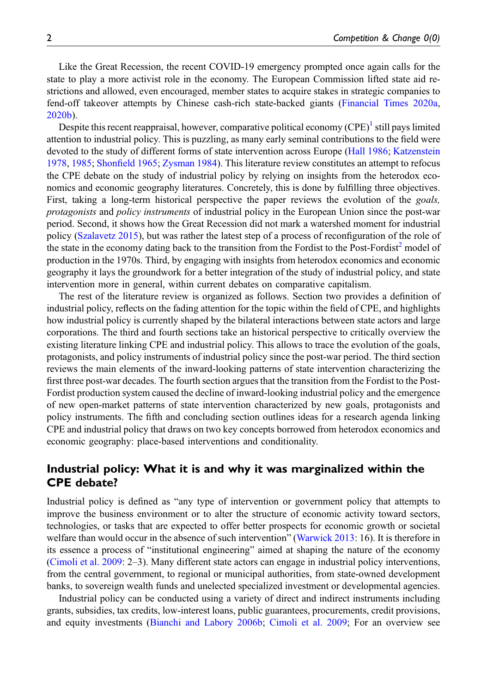Like the Great Recession, the recent COVID-19 emergency prompted once again calls for the state to play a more activist role in the economy. The European Commission lifted state aid restrictions and allowed, even encouraged, member states to acquire stakes in strategic companies to fend-off takeover attempts by Chinese cash-rich state-backed giants [\(Financial Times 2020a](#page-18-0), [2020b](#page-18-1)).

Despite this recent reappraisal, however, comparative political economy  $(CPE)^{1}$  $(CPE)^{1}$  $(CPE)^{1}$  still pays limited attention to industrial policy. This is puzzling, as many early seminal contributions to the field were devoted to the study of different forms of state intervention across Europe [\(Hall 1986;](#page-18-2) [Katzenstein](#page-19-0) [1978](#page-19-0), [1985;](#page-19-1) Shonfi[eld 1965;](#page-20-0) [Zysman 1984\)](#page-21-1). This literature review constitutes an attempt to refocus the CPE debate on the study of industrial policy by relying on insights from the heterodox economics and economic geography literatures. Concretely, this is done by fulfilling three objectives. First, taking a long-term historical perspective the paper reviews the evolution of the *goals*, protagonists and policy instruments of industrial policy in the European Union since the post-war period. Second, it shows how the Great Recession did not mark a watershed moment for industrial policy ([Szalavetz 2015](#page-21-0)), but was rather the latest step of a process of reconfiguration of the role of the state in the economy dating back to the transition from the Fordist to the Post-Fordist<sup>2</sup> model of production in the 1970s. Third, by engaging with insights from heterodox economics and economic geography it lays the groundwork for a better integration of the study of industrial policy, and state intervention more in general, within current debates on comparative capitalism.

The rest of the literature review is organized as follows. Section two provides a definition of industrial policy, reflects on the fading attention for the topic within the field of CPE, and highlights how industrial policy is currently shaped by the bilateral interactions between state actors and large corporations. The third and fourth sections take an historical perspective to critically overview the existing literature linking CPE and industrial policy. This allows to trace the evolution of the goals, protagonists, and policy instruments of industrial policy since the post-war period. The third section reviews the main elements of the inward-looking patterns of state intervention characterizing the first three post-war decades. The fourth section argues that the transition from the Fordist to the Post-Fordist production system caused the decline of inward-looking industrial policy and the emergence of new open-market patterns of state intervention characterized by new goals, protagonists and policy instruments. The fifth and concluding section outlines ideas for a research agenda linking CPE and industrial policy that draws on two key concepts borrowed from heterodox economics and economic geography: place-based interventions and conditionality.

# Industrial policy: What it is and why it was marginalized within the CPE debate?

Industrial policy is defined as "any type of intervention or government policy that attempts to improve the business environment or to alter the structure of economic activity toward sectors, technologies, or tasks that are expected to offer better prospects for economic growth or societal welfare than would occur in the absence of such intervention" [\(Warwick 2013](#page-21-2): 16). It is therefore in its essence a process of "institutional engineering" aimed at shaping the nature of the economy [\(Cimoli et al. 2009:](#page-17-0) 2–3). Many different state actors can engage in industrial policy interventions, from the central government, to regional or municipal authorities, from state-owned development banks, to sovereign wealth funds and unelected specialized investment or developmental agencies.

Industrial policy can be conducted using a variety of direct and indirect instruments including grants, subsidies, tax credits, low-interest loans, public guarantees, procurements, credit provisions, and equity investments [\(Bianchi and Labory 2006b;](#page-16-0) [Cimoli et al. 2009;](#page-17-0) For an overview see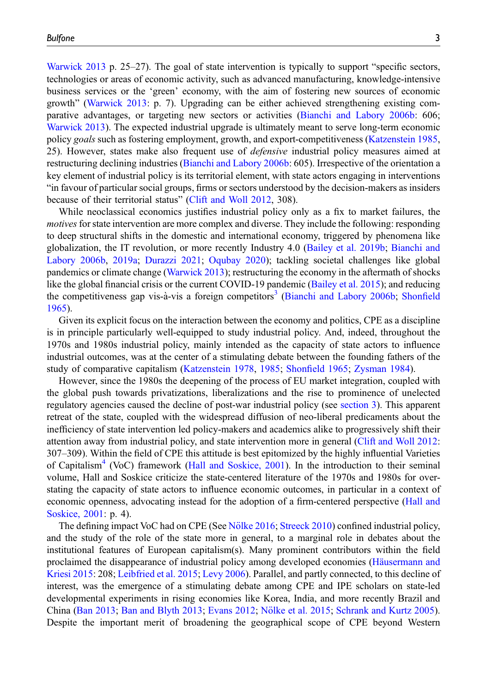[Warwick 2013](#page-21-2) p. 25–27). The goal of state intervention is typically to support "specific sectors, technologies or areas of economic activity, such as advanced manufacturing, knowledge-intensive business services or the 'green' economy, with the aim of fostering new sources of economic growth" ([Warwick 2013](#page-21-2): p. 7). Upgrading can be either achieved strengthening existing comparative advantages, or targeting new sectors or activities [\(Bianchi and Labory 2006b](#page-16-0): 606; [Warwick 2013](#page-21-2)). The expected industrial upgrade is ultimately meant to serve long-term economic policy goals such as fostering employment, growth, and export-competitiveness ([Katzenstein 1985](#page-19-1), 25). However, states make also frequent use of defensive industrial policy measures aimed at restructuring declining industries [\(Bianchi and Labory 2006b](#page-16-0): 605). Irrespective of the orientation a key element of industrial policy is its territorial element, with state actors engaging in interventions "in favour of particular social groups, firms or sectors understood by the decision-makers as insiders because of their territorial status" [\(Clift and Woll 2012,](#page-17-1) 308).

While neoclassical economics justifies industrial policy only as a fix to market failures, the motives for state intervention are more complex and diverse. They include the following: responding to deep structural shifts in the domestic and international economy, triggered by phenomena like globalization, the IT revolution, or more recently Industry 4.0 ([Bailey et al. 2019b](#page-16-1); [Bianchi and](#page-16-0) [Labory 2006b](#page-16-0), [2019a](#page-16-2); [Durazzi 2021](#page-18-3); [Oqubay 2020\)](#page-20-1); tackling societal challenges like global pandemics or climate change ([Warwick 2013](#page-21-2)); restructuring the economy in the aftermath of shocks like the global financial crisis or the current COVID-19 pandemic ([Bailey et al. 2015\)](#page-16-3); and reducing the competitiveness gap vis-à-vis a foreign competitors<sup>[3](#page-14-2)</sup> ([Bianchi and Labory 2006b](#page-16-0); [Shon](#page-20-0)field [1965](#page-20-0)).

Given its explicit focus on the interaction between the economy and politics, CPE as a discipline is in principle particularly well-equipped to study industrial policy. And, indeed, throughout the 1970s and 1980s industrial policy, mainly intended as the capacity of state actors to influence industrial outcomes, was at the center of a stimulating debate between the founding fathers of the study of comparative capitalism ([Katzenstein 1978](#page-19-0), [1985](#page-19-1); Shonfi[eld 1965;](#page-20-0) [Zysman 1984\)](#page-21-1).

However, since the 1980s the deepening of the process of EU market integration, coupled with the global push towards privatizations, liberalizations and the rise to prominence of unelected regulatory agencies caused the decline of post-war industrial policy (see [section 3\)](#page-4-0). This apparent retreat of the state, coupled with the widespread diffusion of neo-liberal predicaments about the inefficiency of state intervention led policy-makers and academics alike to progressively shift their attention away from industrial policy, and state intervention more in general ([Clift and Woll 2012](#page-17-1): 307–309). Within the field of CPE this attitude is best epitomized by the highly influential Varieties of Capitalism<sup>[4](#page-15-0)</sup> (VoC) framework [\(Hall and Soskice, 2001](#page-18-4)). In the introduction to their seminal volume, Hall and Soskice criticize the state-centered literature of the 1970s and 1980s for overstating the capacity of state actors to influence economic outcomes, in particular in a context of economic openness, advocating instead for the adoption of a firm-centered perspective [\(Hall and](#page-18-4) [Soskice, 2001:](#page-18-4) p. 4).

The defining impact VoC had on CPE (See Nölke 2016; [Streeck 2010\)](#page-20-3) confined industrial policy, and the study of the role of the state more in general, to a marginal role in debates about the institutional features of European capitalism(s). Many prominent contributors within the field proclaimed the disappearance of industrial policy among developed economies (Häusermann and [Kriesi 2015](#page-18-5): 208; [Leibfried et al. 2015;](#page-19-2) [Levy 2006\)](#page-19-3). Parallel, and partly connected, to this decline of interest, was the emergence of a stimulating debate among CPE and IPE scholars on state-led developmental experiments in rising economies like Korea, India, and more recently Brazil and China ([Ban 2013;](#page-16-4) [Ban and Blyth 2013](#page-16-5); [Evans 2012;](#page-18-6) Nölke et al. 2015; [Schrank and Kurtz 2005](#page-20-5)). Despite the important merit of broadening the geographical scope of CPE beyond Western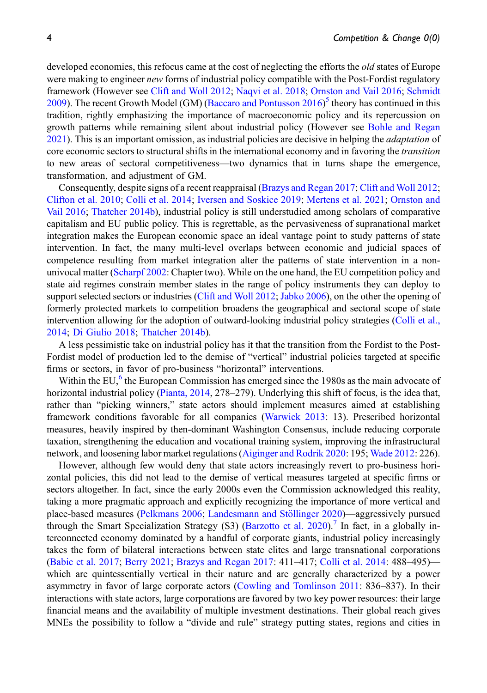developed economies, this refocus came at the cost of neglecting the efforts the *old* states of Europe were making to engineer *new* forms of industrial policy compatible with the Post-Fordist regulatory framework (However see [Clift and Woll 2012](#page-17-1); [Naqvi et al. 2018](#page-20-6); [Ornston and Vail 2016](#page-20-7); [Schmidt](#page-20-8) [2009](#page-20-8)). The recent Growth Model (GM) [\(Baccaro and Pontusson 2016](#page-16-6))<sup>[5](#page-15-1)</sup> theory has continued in this tradition, rightly emphasizing the importance of macroeconomic policy and its repercussion on growth patterns while remaining silent about industrial policy (However see [Bohle and Regan](#page-17-2) [2021](#page-17-2)). This is an important omission, as industrial policies are decisive in helping the adaptation of core economic sectors to structural shifts in the international economy and in favoring the *transition* to new areas of sectoral competitiveness—two dynamics that in turns shape the emergence, transformation, and adjustment of GM.

Consequently, despite signs of a recent reappraisal ([Brazys and Regan 2017;](#page-17-3) [Clift and Woll 2012](#page-17-1); [Clifton et al. 2010](#page-17-4); [Colli et al. 2014;](#page-17-5) [Iversen and Soskice 2019;](#page-18-7) [Mertens et al. 2021](#page-19-4); [Ornston and](#page-20-7) [Vail 2016;](#page-20-7) [Thatcher 2014b](#page-21-3)), industrial policy is still understudied among scholars of comparative capitalism and EU public policy. This is regrettable, as the pervasiveness of supranational market integration makes the European economic space an ideal vantage point to study patterns of state intervention. In fact, the many multi-level overlaps between economic and judicial spaces of competence resulting from market integration alter the patterns of state intervention in a nonunivocal matter [\(Scharpf 2002:](#page-20-9) Chapter two). While on the one hand, the EU competition policy and state aid regimes constrain member states in the range of policy instruments they can deploy to support selected sectors or industries [\(Clift and Woll 2012;](#page-17-1) [Jabko 2006\)](#page-18-8), on the other the opening of formerly protected markets to competition broadens the geographical and sectoral scope of state intervention allowing for the adoption of outward-looking industrial policy strategies [\(Colli et al.,](#page-17-5) [2014](#page-17-5); [Di Giulio 2018;](#page-18-9) [Thatcher 2014b](#page-21-3)).

A less pessimistic take on industrial policy has it that the transition from the Fordist to the Post-Fordist model of production led to the demise of "vertical" industrial policies targeted at specific firms or sectors, in favor of pro-business "horizontal" interventions.

Within the EU, $6$  the European Commission has emerged since the 1980s as the main advocate of horizontal industrial policy [\(Pianta, 2014,](#page-20-10) 278–279). Underlying this shift of focus, is the idea that, rather than "picking winners," state actors should implement measures aimed at establishing framework conditions favorable for all companies [\(Warwick 2013](#page-21-2): 13). Prescribed horizontal measures, heavily inspired by then-dominant Washington Consensus, include reducing corporate taxation, strengthening the education and vocational training system, improving the infrastructural network, and loosening labor market regulations ([Aiginger and Rodrik 2020](#page-15-3): 195; [Wade 2012:](#page-21-4) 226).

However, although few would deny that state actors increasingly revert to pro-business horizontal policies, this did not lead to the demise of vertical measures targeted at specific firms or sectors altogether. In fact, since the early 2000s even the Commission acknowledged this reality, taking a more pragmatic approach and explicitly recognizing the importance of more vertical and place-based measures ([Pelkmans 2006](#page-20-11); Landesmann and Stöllinger 2020)—aggressively pursued through the Smart Specialization Strategy (S3) ([Barzotto et al. 2020](#page-16-7)).<sup>[7](#page-15-4)</sup> In fact, in a globally interconnected economy dominated by a handful of corporate giants, industrial policy increasingly takes the form of bilateral interactions between state elites and large transnational corporations [\(Babic et al. 2017;](#page-15-5) [Berry 2021](#page-16-8); [Brazys and Regan 2017:](#page-17-3) 411–417; [Colli et al. 2014:](#page-17-5) 488–495) which are quintessentially vertical in their nature and are generally characterized by a power asymmetry in favor of large corporate actors ([Cowling and Tomlinson 2011:](#page-17-6) 836–837). In their interactions with state actors, large corporations are favored by two key power resources: their large financial means and the availability of multiple investment destinations. Their global reach gives MNEs the possibility to follow a "divide and rule" strategy putting states, regions and cities in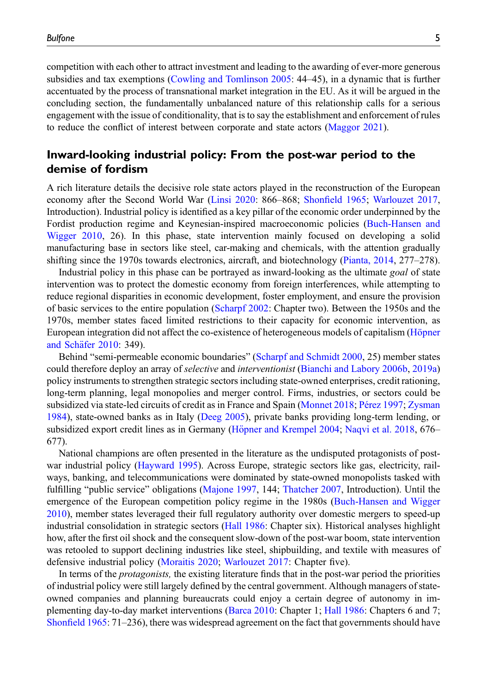competition with each other to attract investment and leading to the awarding of ever-more generous subsidies and tax exemptions [\(Cowling and Tomlinson 2005](#page-17-7): 44–45), in a dynamic that is further accentuated by the process of transnational market integration in the EU. As it will be argued in the concluding section, the fundamentally unbalanced nature of this relationship calls for a serious engagement with the issue of conditionality, that is to say the establishment and enforcement of rules to reduce the conflict of interest between corporate and state actors ([Maggor 2021](#page-19-6)).

## <span id="page-4-0"></span>Inward-looking industrial policy: From the post-war period to the demise of fordism

A rich literature details the decisive role state actors played in the reconstruction of the European economy after the Second World War ([Linsi 2020:](#page-19-7) 866–868; Shonfi[eld 1965;](#page-20-0) [Warlouzet 2017](#page-21-5), Introduction). Industrial policy is identified as a key pillar of the economic order underpinned by the Fordist production regime and Keynesian-inspired macroeconomic policies [\(Buch-Hansen and](#page-17-8) [Wigger 2010](#page-17-8), 26). In this phase, state intervention mainly focused on developing a solid manufacturing base in sectors like steel, car-making and chemicals, with the attention gradually shifting since the 1970s towards electronics, aircraft, and biotechnology ([Pianta, 2014,](#page-20-10) 277–278).

Industrial policy in this phase can be portrayed as inward-looking as the ultimate goal of state intervention was to protect the domestic economy from foreign interferences, while attempting to reduce regional disparities in economic development, foster employment, and ensure the provision of basic services to the entire population ([Scharpf 2002:](#page-20-9) Chapter two). Between the 1950s and the 1970s, member states faced limited restrictions to their capacity for economic intervention, as European integration did not affect the co-existence of heterogeneous models of capitalism (Höpner and Schäfer 2010: 349).

Behind "semi-permeable economic boundaries" [\(Scharpf and Schmidt 2000,](#page-20-12) 25) member states could therefore deploy an array of selective and interventionist ([Bianchi and Labory 2006b](#page-16-0), [2019a\)](#page-16-2) policy instruments to strengthen strategic sectors including state-owned enterprises, credit rationing, long-term planning, legal monopolies and merger control. Firms, industries, or sectors could be subsidized via state-led circuits of credit as in France and Spain ([Monnet 2018;](#page-19-8) Pérez 1997; [Zysman](#page-21-1) [1984](#page-21-1)), state-owned banks as in Italy ([Deeg 2005\)](#page-17-9), private banks providing long-term lending, or subsidized export credit lines as in Germany (Höpner and Krempel 2004; [Naqvi et al. 2018,](#page-20-6) 676– 677).

National champions are often presented in the literature as the undisputed protagonists of postwar industrial policy [\(Hayward 1995\)](#page-18-12). Across Europe, strategic sectors like gas, electricity, railways, banking, and telecommunications were dominated by state-owned monopolists tasked with fulfilling "public service" obligations ([Majone 1997,](#page-19-9) 144; [Thatcher 2007,](#page-21-6) Introduction). Until the emergence of the European competition policy regime in the 1980s ([Buch-Hansen and Wigger](#page-17-8) [2010](#page-17-8)), member states leveraged their full regulatory authority over domestic mergers to speed-up industrial consolidation in strategic sectors [\(Hall 1986](#page-18-2): Chapter six). Historical analyses highlight how, after the first oil shock and the consequent slow-down of the post-war boom, state intervention was retooled to support declining industries like steel, shipbuilding, and textile with measures of defensive industrial policy [\(Moraitis 2020;](#page-19-10) [Warlouzet 2017:](#page-21-5) Chapter five).

In terms of the protagonists, the existing literature finds that in the post-war period the priorities of industrial policy were still largely defined by the central government. Although managers of stateowned companies and planning bureaucrats could enjoy a certain degree of autonomy in implementing day-to-day market interventions [\(Barca 2010:](#page-16-9) Chapter 1; [Hall 1986:](#page-18-2) Chapters 6 and 7; Shonfi[eld 1965](#page-20-0): 71–236), there was widespread agreement on the fact that governments should have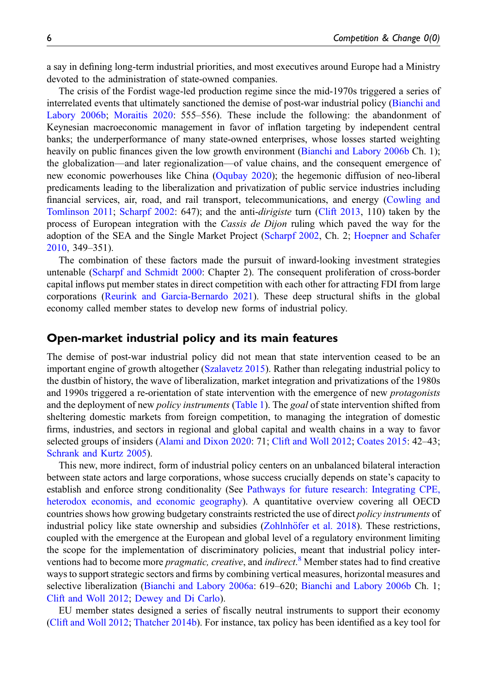a say in defining long-term industrial priorities, and most executives around Europe had a Ministry devoted to the administration of state-owned companies.

The crisis of the Fordist wage-led production regime since the mid-1970s triggered a series of interrelated events that ultimately sanctioned the demise of post-war industrial policy [\(Bianchi and](#page-16-0) [Labory 2006b;](#page-16-0) [Moraitis 2020](#page-19-10): 555–556). These include the following: the abandonment of Keynesian macroeconomic management in favor of inflation targeting by independent central banks; the underperformance of many state-owned enterprises, whose losses started weighting heavily on public finances given the low growth environment ([Bianchi and Labory 2006b](#page-16-0) Ch. 1); the globalization—and later regionalization—of value chains, and the consequent emergence of new economic powerhouses like China ([Oqubay 2020\)](#page-20-1); the hegemonic diffusion of neo-liberal predicaments leading to the liberalization and privatization of public service industries including financial services, air, road, and rail transport, telecommunications, and energy ([Cowling and](#page-17-6) [Tomlinson 2011;](#page-17-6) [Scharpf 2002:](#page-20-9) 647); and the anti-dirigiste turn [\(Clift 2013,](#page-17-10) 110) taken by the process of European integration with the Cassis de Dijon ruling which paved the way for the adoption of the SEA and the Single Market Project ([Scharpf 2002,](#page-20-9) Ch. 2; [Hoepner and Schafer](#page-18-10) [2010](#page-18-10), 349–351).

The combination of these factors made the pursuit of inward-looking investment strategies untenable [\(Scharpf and Schmidt 2000:](#page-20-12) Chapter 2). The consequent proliferation of cross-border capital inflows put member states in direct competition with each other for attracting FDI from large corporations ([Reurink and Garcia-Bernardo 2021\)](#page-20-14). These deep structural shifts in the global economy called member states to develop new forms of industrial policy.

#### Open-market industrial policy and its main features

The demise of post-war industrial policy did not mean that state intervention ceased to be an important engine of growth altogether [\(Szalavetz 2015\)](#page-21-0). Rather than relegating industrial policy to the dustbin of history, the wave of liberalization, market integration and privatizations of the 1980s and 1990s triggered a re-orientation of state intervention with the emergence of new protagonists and the deployment of new *policy instruments* ([Table 1\)](#page-6-0). The *goal* of state intervention shifted from sheltering domestic markets from foreign competition, to managing the integration of domestic firms, industries, and sectors in regional and global capital and wealth chains in a way to favor selected groups of insiders [\(Alami and Dixon 2020:](#page-15-6) 71; [Clift and Woll 2012](#page-17-1); [Coates 2015:](#page-17-11) 42–43; [Schrank and Kurtz 2005](#page-20-5)).

This new, more indirect, form of industrial policy centers on an unbalanced bilateral interaction between state actors and large corporations, whose success crucially depends on state's capacity to establish and enforce strong conditionality (See [Pathways for future research: Integrating CPE,](#page-10-0) [heterodox economis, and economic geography\)](#page-10-0). A quantitative overview covering all OECD countries shows how growing budgetary constraints restricted the use of direct *policy instruments* of industrial policy like state ownership and subsidies (Zohlnhöfer et al.  $2018$ ). These restrictions, coupled with the emergence at the European and global level of a regulatory environment limiting the scope for the implementation of discriminatory policies, meant that industrial policy interventions had to become more *pragmatic, creative*, and *indirect*.<sup>[8](#page-15-7)</sup> Member states had to find creative ways to support strategic sectors and firms by combining vertical measures, horizontal measures and selective liberalization ([Bianchi and Labory 2006a:](#page-16-10) 619–620; [Bianchi and Labory 2006b](#page-16-0) Ch. 1; [Clift and Woll 2012](#page-17-1); [Dewey and Di Carlo\)](#page-18-13).

EU member states designed a series of fiscally neutral instruments to support their economy [\(Clift and Woll 2012](#page-17-1); [Thatcher 2014b\)](#page-21-3). For instance, tax policy has been identified as a key tool for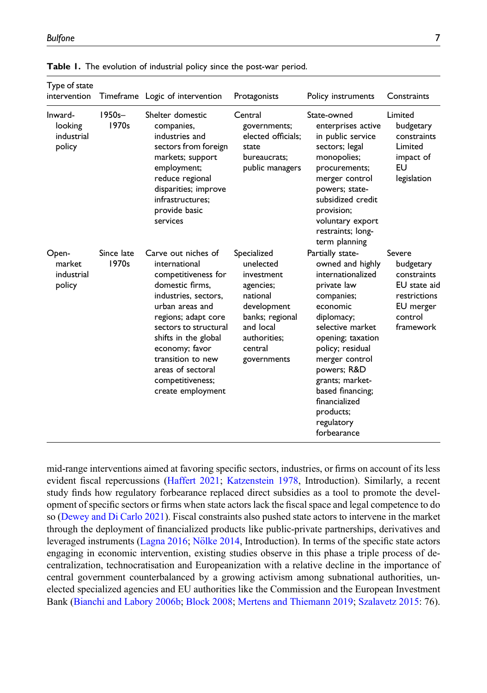| Type of state<br>intervention              |                     | Timeframe Logic of intervention                                                                                                                                                                                                                                                                        | Protagonists                                                                                                                                             | Policy instruments                                                                                                                                                                                                                                                                                               | Constraints                                                                                             |
|--------------------------------------------|---------------------|--------------------------------------------------------------------------------------------------------------------------------------------------------------------------------------------------------------------------------------------------------------------------------------------------------|----------------------------------------------------------------------------------------------------------------------------------------------------------|------------------------------------------------------------------------------------------------------------------------------------------------------------------------------------------------------------------------------------------------------------------------------------------------------------------|---------------------------------------------------------------------------------------------------------|
| Inward-<br>looking<br>industrial<br>policy | $1950s -$<br>1970s  | Shelter domestic<br>companies,<br>industries and<br>sectors from foreign<br>markets; support<br>employment;<br>reduce regional<br>disparities; improve<br>infrastructures:<br>provide basic<br>services                                                                                                | Central<br>governments;<br>elected officials;<br>state<br>bureaucrats:<br>public managers                                                                | State-owned<br>enterprises active<br>in public service<br>sectors; legal<br>monopolies;<br>procurements;<br>merger control<br>powers; state-<br>subsidized credit<br>provision;<br>voluntary export<br>restraints; long-<br>term planning                                                                        | Limited<br>budgetary<br>constraints<br>Limited<br>impact of<br>EU<br>legislation                        |
| Open-<br>market<br>industrial<br>policy    | Since late<br>1970s | Carve out niches of<br>international<br>competitiveness for<br>domestic firms,<br>industries, sectors,<br>urban areas and<br>regions; adapt core<br>sectors to structural<br>shifts in the global<br>economy; favor<br>transition to new<br>areas of sectoral<br>competitiveness;<br>create employment | Specialized<br>unelected<br>investment<br>agencies;<br>national<br>development<br>banks; regional<br>and local<br>authorities:<br>central<br>governments | Partially state-<br>owned and highly<br>internationalized<br>private law<br>companies;<br>economic<br>diplomacy;<br>selective market<br>opening; taxation<br>policy; residual<br>merger control<br>powers; R&D<br>grants; market-<br>based financing;<br>financialized<br>products;<br>regulatory<br>forbearance | Severe<br>budgetary<br>constraints<br>EU state aid<br>restrictions<br>EU merger<br>control<br>framework |

<span id="page-6-0"></span>Table 1. The evolution of industrial policy since the post-war period.

mid-range interventions aimed at favoring specific sectors, industries, or firms on account of its less evident fiscal repercussions [\(Haffert 2021;](#page-18-14) [Katzenstein 1978](#page-19-0), Introduction). Similarly, a recent study finds how regulatory forbearance replaced direct subsidies as a tool to promote the development of specific sectors or firms when state actors lack the fiscal space and legal competence to do so [\(Dewey and Di Carlo 2021](#page-18-13)). Fiscal constraints also pushed state actors to intervene in the market through the deployment of financialized products like public-private partnerships, derivatives and leveraged instruments ([Lagna 2016;](#page-19-11) Nölke 2014, Introduction). In terms of the specific state actors engaging in economic intervention, existing studies observe in this phase a triple process of decentralization, technocratisation and Europeanization with a relative decline in the importance of central government counterbalanced by a growing activism among subnational authorities, unelected specialized agencies and EU authorities like the Commission and the European Investment Bank ([Bianchi and Labory 2006b;](#page-16-0) [Block 2008](#page-16-11); [Mertens and Thiemann 2019;](#page-19-12) [Szalavetz 2015:](#page-21-0) 76).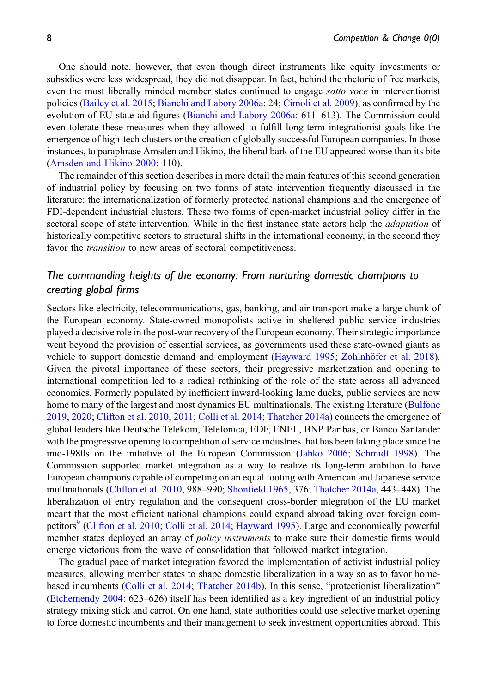One should note, however, that even though direct instruments like equity investments or subsidies were less widespread, they did not disappear. In fact, behind the rhetoric of free markets, even the most liberally minded member states continued to engage sotto voce in interventionist policies [\(Bailey et al. 2015](#page-16-3); [Bianchi and Labory 2006a:](#page-16-10) 24; [Cimoli et al. 2009\)](#page-17-0), as confirmed by the evolution of EU state aid figures ([Bianchi and Labory 2006a](#page-16-10): 611–613). The Commission could even tolerate these measures when they allowed to fulfill long-term integrationist goals like the emergence of high-tech clusters or the creation of globally successful European companies. In those instances, to paraphrase Amsden and Hikino, the liberal bark of the EU appeared worse than its bite [\(Amsden and Hikino 2000](#page-15-8): 110).

The remainder of this section describes in more detail the main features of this second generation of industrial policy by focusing on two forms of state intervention frequently discussed in the literature: the internationalization of formerly protected national champions and the emergence of FDI-dependent industrial clusters. These two forms of open-market industrial policy differ in the sectoral scope of state intervention. While in the first instance state actors help the *adaptation* of historically competitive sectors to structural shifts in the international economy, in the second they favor the *transition* to new areas of sectoral competitiveness.

# The commanding heights of the economy: From nurturing domestic champions to creating global firms

Sectors like electricity, telecommunications, gas, banking, and air transport make a large chunk of the European economy. State-owned monopolists active in sheltered public service industries played a decisive role in the post-war recovery of the European economy. Their strategic importance went beyond the provision of essential services, as governments used these state-owned giants as vehicle to support domestic demand and employment ([Hayward 1995;](#page-18-12) Zohlnhöfer et al. 2018). Given the pivotal importance of these sectors, their progressive marketization and opening to international competition led to a radical rethinking of the role of the state across all advanced economies. Formerly populated by inefficient inward-looking lame ducks, public services are now home to many of the largest and most dynamics EU multinationals. The existing literature ([Bulfone](#page-17-12) [2019](#page-17-12), [2020;](#page-17-13) [Clifton et al. 2010](#page-17-4), [2011](#page-17-14); [Colli et al. 2014](#page-17-5); [Thatcher 2014a\)](#page-21-8) connects the emergence of global leaders like Deutsche Telekom, Telefonica, EDF, ENEL, BNP Paribas, or Banco Santander with the progressive opening to competition of service industries that has been taking place since the mid-1980s on the initiative of the European Commission [\(Jabko 2006](#page-18-8); [Schmidt 1998\)](#page-20-16). The Commission supported market integration as a way to realize its long-term ambition to have European champions capable of competing on an equal footing with American and Japanese service multinationals [\(Clifton et al. 2010](#page-17-4), 988–990; Shonfi[eld 1965,](#page-20-0) 376; [Thatcher 2014a](#page-21-8), 443–448). The liberalization of entry regulation and the consequent cross-border integration of the EU market meant that the most efficient national champions could expand abroad taking over foreign com-petitors<sup>[9](#page-15-9)</sup> [\(Clifton et al. 2010](#page-17-4); [Colli et al. 2014](#page-17-5); [Hayward 1995\)](#page-18-12). Large and economically powerful member states deployed an array of *policy instruments* to make sure their domestic firms would emerge victorious from the wave of consolidation that followed market integration.

The gradual pace of market integration favored the implementation of activist industrial policy measures, allowing member states to shape domestic liberalization in a way so as to favor homebased incumbents ([Colli et al. 2014](#page-17-5); [Thatcher 2014b](#page-21-3)). In this sense, "protectionist liberalization" [\(Etchemendy 2004:](#page-18-15) 623–626) itself has been identified as a key ingredient of an industrial policy strategy mixing stick and carrot. On one hand, state authorities could use selective market opening to force domestic incumbents and their management to seek investment opportunities abroad. This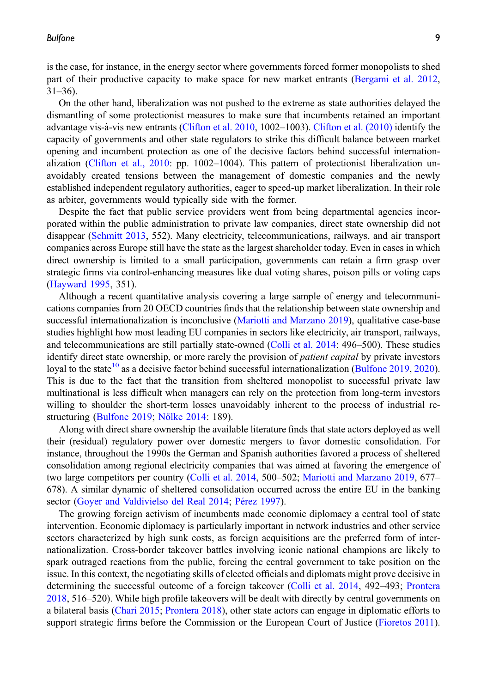is the case, for instance, in the energy sector where governments forced former monopolists to shed part of their productive capacity to make space for new market entrants ([Bergami et al. 2012](#page-16-12), 31–36).

On the other hand, liberalization was not pushed to the extreme as state authorities delayed the dismantling of some protectionist measures to make sure that incumbents retained an important advantage vis-à-vis new entrants ([Clifton et al. 2010](#page-17-4), 1002–1003). [Clifton et al. \(2010\)](#page-17-4) identify the capacity of governments and other state regulators to strike this difficult balance between market opening and incumbent protection as one of the decisive factors behind successful internationalization ([Clifton et al., 2010:](#page-17-4) pp. 1002–1004). This pattern of protectionist liberalization unavoidably created tensions between the management of domestic companies and the newly established independent regulatory authorities, eager to speed-up market liberalization. In their role as arbiter, governments would typically side with the former.

Despite the fact that public service providers went from being departmental agencies incorporated within the public administration to private law companies, direct state ownership did not disappear ([Schmitt 2013](#page-20-17), 552). Many electricity, telecommunications, railways, and air transport companies across Europe still have the state as the largest shareholder today. Even in cases in which direct ownership is limited to a small participation, governments can retain a firm grasp over strategic firms via control-enhancing measures like dual voting shares, poison pills or voting caps [\(Hayward 1995,](#page-18-12) 351).

Although a recent quantitative analysis covering a large sample of energy and telecommunications companies from 20 OECD countries finds that the relationship between state ownership and successful internationalization is inconclusive ([Mariotti and Marzano 2019\)](#page-19-13), qualitative case-base studies highlight how most leading EU companies in sectors like electricity, air transport, railways, and telecommunications are still partially state-owned ([Colli et al. 2014:](#page-17-5) 496–500). These studies identify direct state ownership, or more rarely the provision of *patient capital* by private investors loyal to the state<sup>[10](#page-15-10)</sup> as a decisive factor behind successful internationalization [\(Bulfone 2019](#page-17-12), [2020](#page-17-13)). This is due to the fact that the transition from sheltered monopolist to successful private law multinational is less difficult when managers can rely on the protection from long-term investors willing to shoulder the short-term losses unavoidably inherent to the process of industrial re-structuring [\(Bulfone 2019;](#page-17-12) Nölke 2014: 189).

Along with direct share ownership the available literature finds that state actors deployed as well their (residual) regulatory power over domestic mergers to favor domestic consolidation. For instance, throughout the 1990s the German and Spanish authorities favored a process of sheltered consolidation among regional electricity companies that was aimed at favoring the emergence of two large competitors per country [\(Colli et al. 2014,](#page-17-5) 500–502; [Mariotti and Marzano 2019](#page-19-13), 677– 678). A similar dynamic of sheltered consolidation occurred across the entire EU in the banking sector [\(Goyer and Valdivielso del Real 2014;](#page-18-16) Pérez 1997).

The growing foreign activism of incumbents made economic diplomacy a central tool of state intervention. Economic diplomacy is particularly important in network industries and other service sectors characterized by high sunk costs, as foreign acquisitions are the preferred form of internationalization. Cross-border takeover battles involving iconic national champions are likely to spark outraged reactions from the public, forcing the central government to take position on the issue. In this context, the negotiating skills of elected officials and diplomats might prove decisive in determining the successful outcome of a foreign takeover ([Colli et al. 2014,](#page-17-5) 492–493; [Prontera](#page-20-18) [2018](#page-20-18), 516–520). While high profile takeovers will be dealt with directly by central governments on a bilateral basis ([Chari 2015](#page-17-15); [Prontera 2018\)](#page-20-18), other state actors can engage in diplomatic efforts to support strategic firms before the Commission or the European Court of Justice ([Fioretos 2011](#page-18-17)).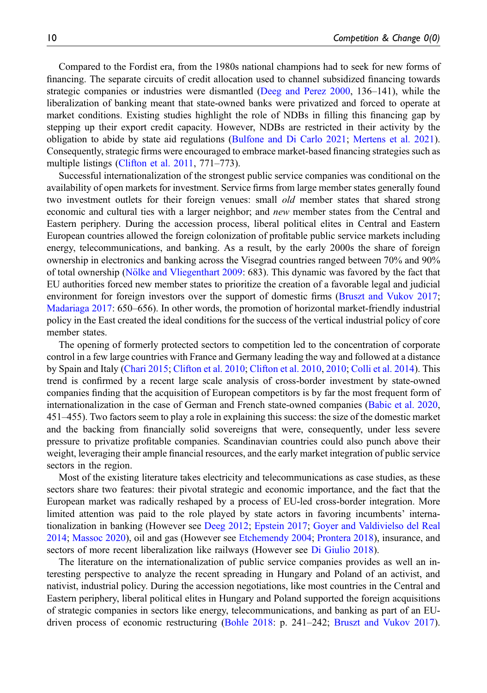Compared to the Fordist era, from the 1980s national champions had to seek for new forms of financing. The separate circuits of credit allocation used to channel subsidized financing towards strategic companies or industries were dismantled ([Deeg and Perez 2000,](#page-18-18) 136–141), while the liberalization of banking meant that state-owned banks were privatized and forced to operate at market conditions. Existing studies highlight the role of NDBs in filling this financing gap by stepping up their export credit capacity. However, NDBs are restricted in their activity by the obligation to abide by state aid regulations [\(Bulfone and Di Carlo 2021;](#page-17-16) [Mertens et al. 2021](#page-19-4)). Consequently, strategic firms were encouraged to embrace market-based financing strategies such as multiple listings [\(Clifton et al. 2011,](#page-17-14) 771–773).

Successful internationalization of the strongest public service companies was conditional on the availability of open markets for investment. Service firms from large member states generally found two investment outlets for their foreign venues: small *old* member states that shared strong economic and cultural ties with a larger neighbor; and *new* member states from the Central and Eastern periphery. During the accession process, liberal political elites in Central and Eastern European countries allowed the foreign colonization of profitable public service markets including energy, telecommunications, and banking. As a result, by the early 2000s the share of foreign ownership in electronics and banking across the Visegrad countries ranged between 70% and 90% of total ownership (Nölke and Vliegenthart 2009: 683). This dynamic was favored by the fact that EU authorities forced new member states to prioritize the creation of a favorable legal and judicial environment for foreign investors over the support of domestic firms [\(Bruszt and Vukov 2017](#page-17-17); [Madariaga 2017:](#page-19-14) 650–656). In other words, the promotion of horizontal market-friendly industrial policy in the East created the ideal conditions for the success of the vertical industrial policy of core member states.

The opening of formerly protected sectors to competition led to the concentration of corporate control in a few large countries with France and Germany leading the way and followed at a distance by Spain and Italy ([Chari 2015;](#page-17-15) [Clifton et al. 2010](#page-17-4); [Clifton et al. 2010](#page-17-4), [2010;](#page-17-4) [Colli et al. 2014](#page-17-5)). This trend is confirmed by a recent large scale analysis of cross-border investment by state-owned companies finding that the acquisition of European competitors is by far the most frequent form of internationalization in the case of German and French state-owned companies ([Babic et al. 2020](#page-15-11), 451–455). Two factors seem to play a role in explaining this success: the size of the domestic market and the backing from financially solid sovereigns that were, consequently, under less severe pressure to privatize profitable companies. Scandinavian countries could also punch above their weight, leveraging their ample financial resources, and the early market integration of public service sectors in the region.

Most of the existing literature takes electricity and telecommunications as case studies, as these sectors share two features: their pivotal strategic and economic importance, and the fact that the European market was radically reshaped by a process of EU-led cross-border integration. More limited attention was paid to the role played by state actors in favoring incumbents' internationalization in banking (However see [Deeg 2012](#page-18-19); [Epstein 2017](#page-18-20); [Goyer and Valdivielso del Real](#page-18-16) [2014](#page-18-16); [Massoc 2020](#page-19-15)), oil and gas (However see [Etchemendy 2004;](#page-18-15) [Prontera 2018\)](#page-20-18), insurance, and sectors of more recent liberalization like railways (However see [Di Giulio 2018\)](#page-18-9).

The literature on the internationalization of public service companies provides as well an interesting perspective to analyze the recent spreading in Hungary and Poland of an activist, and nativist, industrial policy. During the accession negotiations, like most countries in the Central and Eastern periphery, liberal political elites in Hungary and Poland supported the foreign acquisitions of strategic companies in sectors like energy, telecommunications, and banking as part of an EUdriven process of economic restructuring [\(Bohle 2018](#page-16-13): p. 241–242; [Bruszt and Vukov 2017](#page-17-17)).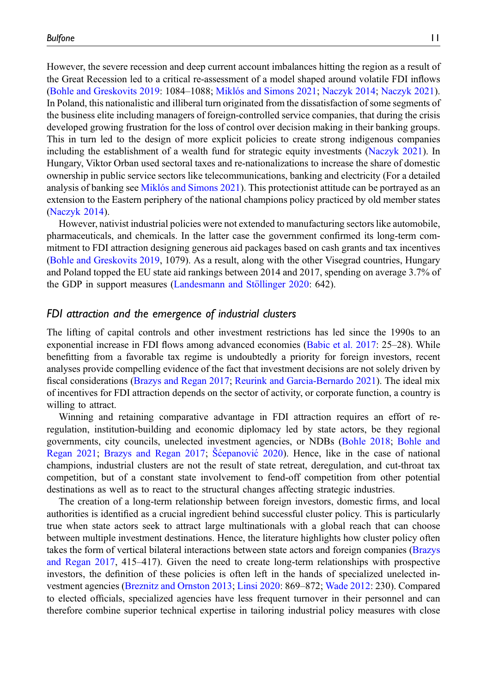However, the severe recession and deep current account imbalances hitting the region as a result of the Great Recession led to a critical re-assessment of a model shaped around volatile FDI inflows [\(Bohle and Greskovits 2019](#page-16-14): 1084–1088; [Miklós and Simons 2021;](#page-19-16) [Naczyk 2014;](#page-19-17) [Naczyk 2021](#page-20-20)). In Poland, this nationalistic and illiberal turn originated from the dissatisfaction of some segments of the business elite including managers of foreign-controlled service companies, that during the crisis developed growing frustration for the loss of control over decision making in their banking groups. This in turn led to the design of more explicit policies to create strong indigenous companies including the establishment of a wealth fund for strategic equity investments ([Naczyk 2021](#page-20-20)). In Hungary, Viktor Orban used sectoral taxes and re-nationalizations to increase the share of domestic ownership in public service sectors like telecommunications, banking and electricity (For a detailed analysis of banking see [Miklós and Simons 2021\)](#page-19-16). This protectionist attitude can be portrayed as an extension to the Eastern periphery of the national champions policy practiced by old member states [\(Naczyk 2014\)](#page-19-17).

However, nativist industrial policies were not extended to manufacturing sectors like automobile, pharmaceuticals, and chemicals. In the latter case the government confirmed its long-term commitment to FDI attraction designing generous aid packages based on cash grants and tax incentives [\(Bohle and Greskovits 2019](#page-16-14), 1079). As a result, along with the other Visegrad countries, Hungary and Poland topped the EU state aid rankings between 2014 and 2017, spending on average 3.7% of the GDP in support measures (Landesmann and Stöllinger 2020: 642).

#### <span id="page-10-0"></span>FDI attraction and the emergence of industrial clusters

The lifting of capital controls and other investment restrictions has led since the 1990s to an exponential increase in FDI flows among advanced economies ([Babic et al. 2017](#page-15-5): 25–28). While benefitting from a favorable tax regime is undoubtedly a priority for foreign investors, recent analyses provide compelling evidence of the fact that investment decisions are not solely driven by fiscal considerations [\(Brazys and Regan 2017](#page-17-3); [Reurink and Garcia-Bernardo 2021](#page-20-14)). The ideal mix of incentives for FDI attraction depends on the sector of activity, or corporate function, a country is willing to attract.

Winning and retaining comparative advantage in FDI attraction requires an effort of reregulation, institution-building and economic diplomacy led by state actors, be they regional governments, city councils, unelected investment agencies, or NDBs [\(Bohle 2018](#page-16-13); [Bohle and](#page-17-2) [Regan 2021;](#page-17-2) [Brazys and Regan 2017](#page-17-3); Sćepanović [2020](#page-20-21)). Hence, like in the case of national champions, industrial clusters are not the result of state retreat, deregulation, and cut-throat tax competition, but of a constant state involvement to fend-off competition from other potential destinations as well as to react to the structural changes affecting strategic industries.

The creation of a long-term relationship between foreign investors, domestic firms, and local authorities is identified as a crucial ingredient behind successful cluster policy. This is particularly true when state actors seek to attract large multinationals with a global reach that can choose between multiple investment destinations. Hence, the literature highlights how cluster policy often takes the form of vertical bilateral interactions between state actors and foreign companies [\(Brazys](#page-17-3) [and Regan 2017,](#page-17-3) 415–417). Given the need to create long-term relationships with prospective investors, the definition of these policies is often left in the hands of specialized unelected investment agencies ([Breznitz and Ornston 2013;](#page-17-18) [Linsi 2020](#page-19-7): 869–872; [Wade 2012:](#page-21-4) 230). Compared to elected officials, specialized agencies have less frequent turnover in their personnel and can therefore combine superior technical expertise in tailoring industrial policy measures with close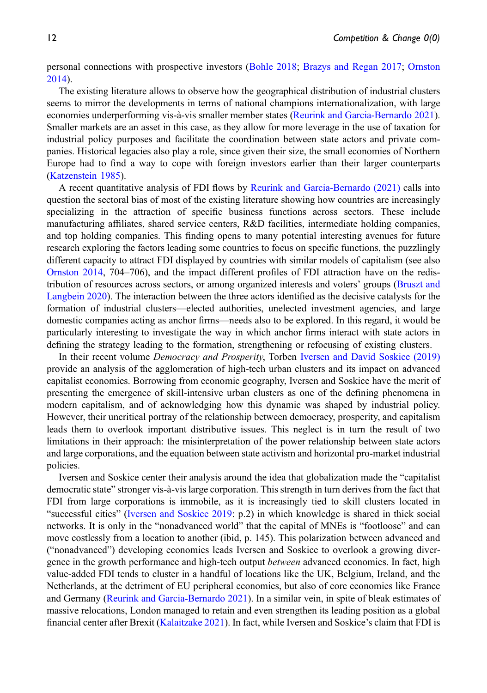personal connections with prospective investors ([Bohle 2018;](#page-16-13) [Brazys and Regan 2017;](#page-17-3) [Ornston](#page-20-22) [2014](#page-20-22)).

The existing literature allows to observe how the geographical distribution of industrial clusters seems to mirror the developments in terms of national champions internationalization, with large economies underperforming vis-à-vis smaller member states ([Reurink and Garcia-Bernardo 2021](#page-20-14)). Smaller markets are an asset in this case, as they allow for more leverage in the use of taxation for industrial policy purposes and facilitate the coordination between state actors and private companies. Historical legacies also play a role, since given their size, the small economies of Northern Europe had to find a way to cope with foreign investors earlier than their larger counterparts [\(Katzenstein 1985](#page-19-1)).

A recent quantitative analysis of FDI flows by [Reurink and Garcia-Bernardo \(2021\)](#page-20-14) calls into question the sectoral bias of most of the existing literature showing how countries are increasingly specializing in the attraction of specific business functions across sectors. These include manufacturing affiliates, shared service centers, R&D facilities, intermediate holding companies, and top holding companies. This finding opens to many potential interesting avenues for future research exploring the factors leading some countries to focus on specific functions, the puzzlingly different capacity to attract FDI displayed by countries with similar models of capitalism (see also [Ornston 2014,](#page-20-22) 704–706), and the impact different profiles of FDI attraction have on the redistribution of resources across sectors, or among organized interests and voters' groups ([Bruszt and](#page-17-19) [Langbein 2020\)](#page-17-19). The interaction between the three actors identified as the decisive catalysts for the formation of industrial clusters—elected authorities, unelected investment agencies, and large domestic companies acting as anchor firms—needs also to be explored. In this regard, it would be particularly interesting to investigate the way in which anchor firms interact with state actors in defining the strategy leading to the formation, strengthening or refocusing of existing clusters.

In their recent volume Democracy and Prosperity, Torben [Iversen and David Soskice \(2019\)](#page-18-7) provide an analysis of the agglomeration of high-tech urban clusters and its impact on advanced capitalist economies. Borrowing from economic geography, Iversen and Soskice have the merit of presenting the emergence of skill-intensive urban clusters as one of the defining phenomena in modern capitalism, and of acknowledging how this dynamic was shaped by industrial policy. However, their uncritical portray of the relationship between democracy, prosperity, and capitalism leads them to overlook important distributive issues. This neglect is in turn the result of two limitations in their approach: the misinterpretation of the power relationship between state actors and large corporations, and the equation between state activism and horizontal pro-market industrial policies.

Iversen and Soskice center their analysis around the idea that globalization made the "capitalist democratic state" stronger vis-a-vis large corporation. This strength in turn derives from the fact that ` FDI from large corporations is immobile, as it is increasingly tied to skill clusters located in "successful cities" ([Iversen and Soskice 2019:](#page-18-7) p.2) in which knowledge is shared in thick social networks. It is only in the "nonadvanced world" that the capital of MNEs is "footloose" and can move costlessly from a location to another (ibid, p. 145). This polarization between advanced and ("nonadvanced") developing economies leads Iversen and Soskice to overlook a growing divergence in the growth performance and high-tech output *between* advanced economies. In fact, high value-added FDI tends to cluster in a handful of locations like the UK, Belgium, Ireland, and the Netherlands, at the detriment of EU peripheral economies, but also of core economies like France and Germany [\(Reurink and Garcia-Bernardo 2021](#page-20-14)). In a similar vein, in spite of bleak estimates of massive relocations, London managed to retain and even strengthen its leading position as a global financial center after Brexit [\(Kalaitzake 2021](#page-19-18)). In fact, while Iversen and Soskice's claim that FDI is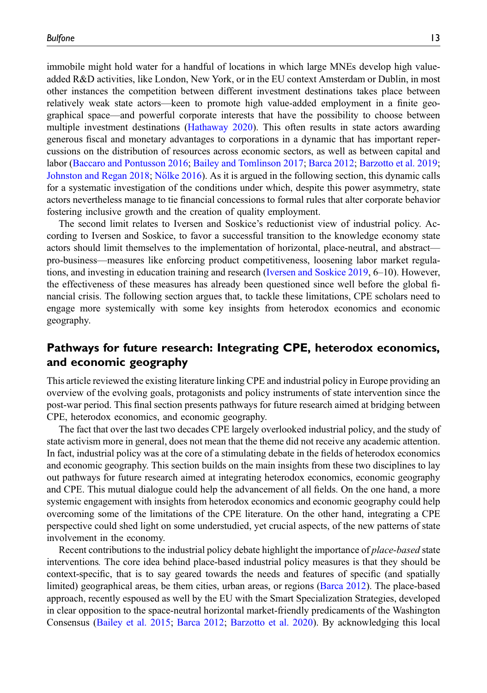immobile might hold water for a handful of locations in which large MNEs develop high valueadded R&D activities, like London, New York, or in the EU context Amsterdam or Dublin, in most other instances the competition between different investment destinations takes place between relatively weak state actors—keen to promote high value-added employment in a finite geographical space—and powerful corporate interests that have the possibility to choose between multiple investment destinations ([Hathaway 2020](#page-18-21)). This often results in state actors awarding generous fiscal and monetary advantages to corporations in a dynamic that has important repercussions on the distribution of resources across economic sectors, as well as between capital and labor ([Baccaro and Pontusson 2016](#page-16-6); [Bailey and Tomlinson 2017](#page-16-15); [Barca 2012;](#page-16-16) [Barzotto et al. 2019](#page-16-17); [Johnston and Regan 2018](#page-19-19); Nölke 2016). As it is argued in the following section, this dynamic calls for a systematic investigation of the conditions under which, despite this power asymmetry, state actors nevertheless manage to tie financial concessions to formal rules that alter corporate behavior fostering inclusive growth and the creation of quality employment.

The second limit relates to Iversen and Soskice's reductionist view of industrial policy. According to Iversen and Soskice, to favor a successful transition to the knowledge economy state actors should limit themselves to the implementation of horizontal, place-neutral, and abstract pro-business—measures like enforcing product competitiveness, loosening labor market regulations, and investing in education training and research ([Iversen and Soskice 2019,](#page-18-7) 6–10). However, the effectiveness of these measures has already been questioned since well before the global financial crisis. The following section argues that, to tackle these limitations, CPE scholars need to engage more systemically with some key insights from heterodox economics and economic geography.

# Pathways for future research: Integrating CPE, heterodox economics, and economic geography

This article reviewed the existing literature linking CPE and industrial policy in Europe providing an overview of the evolving goals, protagonists and policy instruments of state intervention since the post-war period. This final section presents pathways for future research aimed at bridging between CPE, heterodox economics, and economic geography.

The fact that over the last two decades CPE largely overlooked industrial policy, and the study of state activism more in general, does not mean that the theme did not receive any academic attention. In fact, industrial policy was at the core of a stimulating debate in the fields of heterodox economics and economic geography. This section builds on the main insights from these two disciplines to lay out pathways for future research aimed at integrating heterodox economics, economic geography and CPE. This mutual dialogue could help the advancement of all fields. On the one hand, a more systemic engagement with insights from heterodox economics and economic geography could help overcoming some of the limitations of the CPE literature. On the other hand, integrating a CPE perspective could shed light on some understudied, yet crucial aspects, of the new patterns of state involvement in the economy.

Recent contributions to the industrial policy debate highlight the importance of *place-based* state interventions. The core idea behind place-based industrial policy measures is that they should be context-specific, that is to say geared towards the needs and features of specific (and spatially limited) geographical areas, be them cities, urban areas, or regions ([Barca 2012](#page-16-16)). The place-based approach, recently espoused as well by the EU with the Smart Specialization Strategies, developed in clear opposition to the space-neutral horizontal market-friendly predicaments of the Washington Consensus ([Bailey et al. 2015;](#page-16-3) [Barca 2012;](#page-16-16) [Barzotto et al. 2020\)](#page-16-7). By acknowledging this local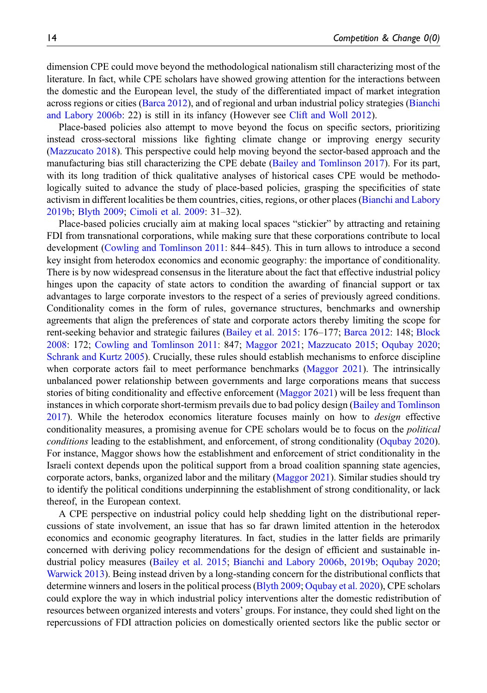dimension CPE could move beyond the methodological nationalism still characterizing most of the literature. In fact, while CPE scholars have showed growing attention for the interactions between the domestic and the European level, the study of the differentiated impact of market integration across regions or cities ([Barca 2012\)](#page-16-16), and of regional and urban industrial policy strategies ([Bianchi](#page-16-0) [and Labory 2006b:](#page-16-0) 22) is still in its infancy (However see [Clift and Woll 2012\)](#page-17-1).

Place-based policies also attempt to move beyond the focus on specific sectors, prioritizing instead cross-sectoral missions like fighting climate change or improving energy security [\(Mazzucato 2018](#page-19-20)). This perspective could help moving beyond the sector-based approach and the manufacturing bias still characterizing the CPE debate ([Bailey and Tomlinson 2017\)](#page-16-15). For its part, with its long tradition of thick qualitative analyses of historical cases CPE would be methodologically suited to advance the study of place-based policies, grasping the specificities of state activism in different localities be them countries, cities, regions, or other places [\(Bianchi and Labory](#page-16-18) [2019b](#page-16-18); [Blyth 2009](#page-16-19); [Cimoli et al. 2009:](#page-17-0) 31–32).

Place-based policies crucially aim at making local spaces "stickier" by attracting and retaining FDI from transnational corporations, while making sure that these corporations contribute to local development [\(Cowling and Tomlinson 2011:](#page-17-6) 844–845). This in turn allows to introduce a second key insight from heterodox economics and economic geography: the importance of conditionality. There is by now widespread consensus in the literature about the fact that effective industrial policy hinges upon the capacity of state actors to condition the awarding of financial support or tax advantages to large corporate investors to the respect of a series of previously agreed conditions. Conditionality comes in the form of rules, governance structures, benchmarks and ownership agreements that align the preferences of state and corporate actors thereby limiting the scope for rent-seeking behavior and strategic failures ([Bailey et al. 2015](#page-16-3): 176–177; [Barca 2012](#page-16-16): 148; [Block](#page-16-11) [2008](#page-16-11): 172; [Cowling and Tomlinson 2011](#page-17-6): 847; [Maggor 2021](#page-19-6); [Mazzucato 2015;](#page-19-21) [Oqubay 2020](#page-20-1); [Schrank and Kurtz 2005](#page-20-5)). Crucially, these rules should establish mechanisms to enforce discipline when corporate actors fail to meet performance benchmarks [\(Maggor 2021](#page-19-6)). The intrinsically unbalanced power relationship between governments and large corporations means that success stories of biting conditionality and effective enforcement ([Maggor 2021\)](#page-19-6) will be less frequent than instances in which corporate short-termism prevails due to bad policy design [\(Bailey and Tomlinson](#page-16-15) [2017](#page-16-15)). While the heterodox economics literature focuses mainly on how to *design* effective conditionality measures, a promising avenue for CPE scholars would be to focus on the political conditions leading to the establishment, and enforcement, of strong conditionality ([Oqubay 2020](#page-20-1)). For instance, Maggor shows how the establishment and enforcement of strict conditionality in the Israeli context depends upon the political support from a broad coalition spanning state agencies, corporate actors, banks, organized labor and the military [\(Maggor 2021](#page-19-6)). Similar studies should try to identify the political conditions underpinning the establishment of strong conditionality, or lack thereof, in the European context.

A CPE perspective on industrial policy could help shedding light on the distributional repercussions of state involvement, an issue that has so far drawn limited attention in the heterodox economics and economic geography literatures. In fact, studies in the latter fields are primarily concerned with deriving policy recommendations for the design of efficient and sustainable industrial policy measures [\(Bailey et al. 2015;](#page-16-3) [Bianchi and Labory 2006b](#page-16-0), [2019b;](#page-16-18) [Oqubay 2020](#page-20-1); [Warwick 2013\)](#page-21-2). Being instead driven by a long-standing concern for the distributional conflicts that determine winners and losers in the political process ([Blyth 2009;](#page-16-19) [Oqubay et al. 2020\)](#page-20-23), CPE scholars could explore the way in which industrial policy interventions alter the domestic redistribution of resources between organized interests and voters' groups. For instance, they could shed light on the repercussions of FDI attraction policies on domestically oriented sectors like the public sector or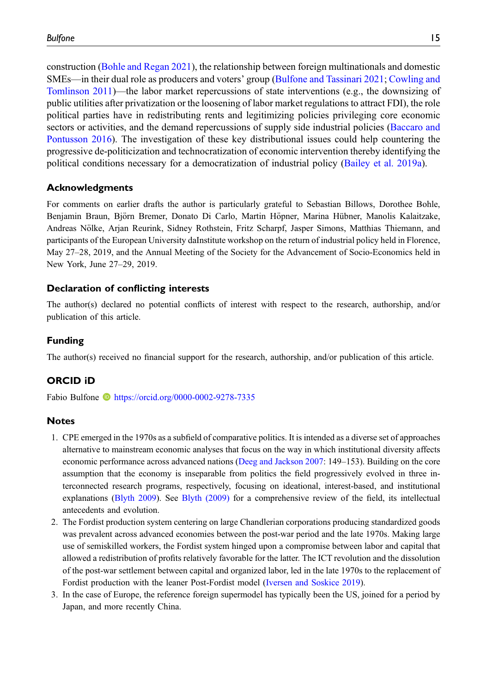construction [\(Bohle and Regan 2021\)](#page-17-2), the relationship between foreign multinationals and domestic SMEs—in their dual role as producers and voters' group [\(Bulfone and Tassinari 2021](#page-17-20); [Cowling and](#page-17-6) [Tomlinson 2011\)](#page-17-6)—the labor market repercussions of state interventions (e.g., the downsizing of public utilities after privatization or the loosening of labor market regulations to attract FDI), the role political parties have in redistributing rents and legitimizing policies privileging core economic sectors or activities, and the demand repercussions of supply side industrial policies [\(Baccaro and](#page-16-6) [Pontusson 2016\)](#page-16-6). The investigation of these key distributional issues could help countering the progressive de-politicization and technocratization of economic intervention thereby identifying the political conditions necessary for a democratization of industrial policy ([Bailey et al. 2019a](#page-16-20)).

#### Acknowledgments

For comments on earlier drafts the author is particularly grateful to Sebastian Billows, Dorothee Bohle, Benjamin Braun, Björn Bremer, Donato Di Carlo, Martin Höpner, Marina Hübner, Manolis Kalaitzake, Andreas Nolke, Arjan Reurink, Sidney Rothstein, Fritz Scharpf, Jasper Simons, Matthias Thiemann, and ¨ participants of the European University daInstitute workshop on the return of industrial policy held in Florence, May 27–28, 2019, and the Annual Meeting of the Society for the Advancement of Socio-Economics held in New York, June 27–29, 2019.

#### Declaration of conflicting interests

The author(s) declared no potential conflicts of interest with respect to the research, authorship, and/or publication of this article.

#### Funding

The author(s) received no financial support for the research, authorship, and/or publication of this article.

#### ORCID iD

Fabio Bulfone **b** <https://orcid.org/0000-0002-9278-7335>

#### **Notes**

- <span id="page-14-0"></span>1. CPE emerged in the 1970s as a subfield of comparative politics. It is intended as a diverse set of approaches alternative to mainstream economic analyses that focus on the way in which institutional diversity affects economic performance across advanced nations [\(Deeg and Jackson 2007](#page-18-22): 149–153). Building on the core assumption that the economy is inseparable from politics the field progressively evolved in three interconnected research programs, respectively, focusing on ideational, interest-based, and institutional explanations [\(Blyth 2009\)](#page-16-19). See [Blyth \(2009\)](#page-16-19) for a comprehensive review of the field, its intellectual antecedents and evolution.
- <span id="page-14-1"></span>2. The Fordist production system centering on large Chandlerian corporations producing standardized goods was prevalent across advanced economies between the post-war period and the late 1970s. Making large use of semiskilled workers, the Fordist system hinged upon a compromise between labor and capital that allowed a redistribution of profits relatively favorable for the latter. The ICT revolution and the dissolution of the post-war settlement between capital and organized labor, led in the late 1970s to the replacement of Fordist production with the leaner Post-Fordist model [\(Iversen and Soskice 2019\)](#page-18-7).
- <span id="page-14-2"></span>3. In the case of Europe, the reference foreign supermodel has typically been the US, joined for a period by Japan, and more recently China.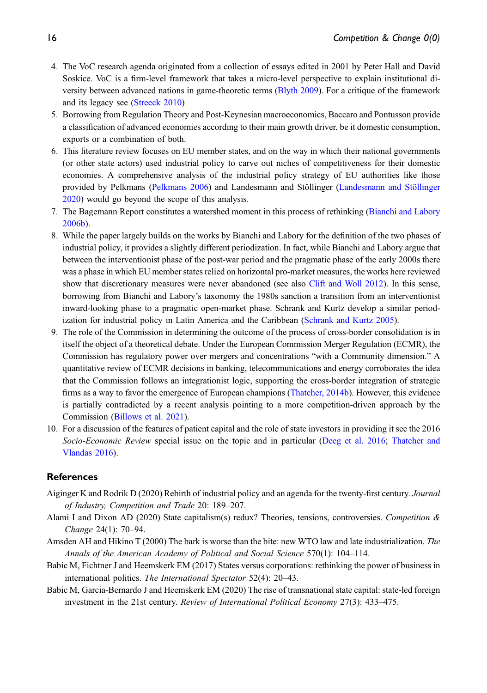- <span id="page-15-0"></span>4. The VoC research agenda originated from a collection of essays edited in 2001 by Peter Hall and David Soskice. VoC is a firm-level framework that takes a micro-level perspective to explain institutional diversity between advanced nations in game-theoretic terms ([Blyth 2009](#page-16-19)). For a critique of the framework and its legacy see [\(Streeck 2010\)](#page-20-3)
- <span id="page-15-1"></span>5. Borrowing from Regulation Theory and Post-Keynesian macroeconomics, Baccaro and Pontusson provide a classification of advanced economies according to their main growth driver, be it domestic consumption, exports or a combination of both.
- <span id="page-15-2"></span>6. This literature review focuses on EU member states, and on the way in which their national governments (or other state actors) used industrial policy to carve out niches of competitiveness for their domestic economies. A comprehensive analysis of the industrial policy strategy of EU authorities like those provided by Pelkmans [\(Pelkmans 2006](#page-20-11)) and [Landesmann and St](#page-19-5)ö[llinger](#page-19-5) (Landesmann and Stöllinger [2020\)](#page-19-5) would go beyond the scope of this analysis.
- <span id="page-15-4"></span>7. The Bagemann Report constitutes a watershed moment in this process of rethinking [\(Bianchi and Labory](#page-16-0) [2006b](#page-16-0)).
- <span id="page-15-7"></span>8. While the paper largely builds on the works by Bianchi and Labory for the definition of the two phases of industrial policy, it provides a slightly different periodization. In fact, while Bianchi and Labory argue that between the interventionist phase of the post-war period and the pragmatic phase of the early 2000s there was a phase in which EU member states relied on horizontal pro-market measures, the works here reviewed show that discretionary measures were never abandoned (see also [Clift and Woll 2012](#page-17-1)). In this sense, borrowing from Bianchi and Labory's taxonomy the 1980s sanction a transition from an interventionist inward-looking phase to a pragmatic open-market phase. Schrank and Kurtz develop a similar periodization for industrial policy in Latin America and the Caribbean [\(Schrank and Kurtz 2005](#page-20-5)).
- <span id="page-15-9"></span>9. The role of the Commission in determining the outcome of the process of cross-border consolidation is in itself the object of a theoretical debate. Under the European Commission Merger Regulation (ECMR), the Commission has regulatory power over mergers and concentrations "with a Community dimension." A quantitative review of ECMR decisions in banking, telecommunications and energy corroborates the idea that the Commission follows an integrationist logic, supporting the cross-border integration of strategic firms as a way to favor the emergence of European champions [\(Thatcher, 2014b](#page-21-3)). However, this evidence is partially contradicted by a recent analysis pointing to a more competition-driven approach by the Commission ([Billows et al. 2021](#page-16-21)).
- <span id="page-15-10"></span>10. For a discussion of the features of patient capital and the role of state investors in providing it see the 2016 Socio-Economic Review special issue on the topic and in particular ([Deeg et al. 2016;](#page-18-23) [Thatcher and](#page-21-9) [Vlandas 2016](#page-21-9)).

#### **References**

- <span id="page-15-3"></span>Aiginger K and Rodrik D (2020) Rebirth of industrial policy and an agenda for the twenty-first century. Journal of Industry, Competition and Trade 20: 189–207.
- <span id="page-15-6"></span>Alami I and Dixon AD (2020) State capitalism(s) redux? Theories, tensions, controversies. Competition  $\&$ Change 24(1): 70–94.
- <span id="page-15-8"></span>Amsden AH and Hikino T (2000) The bark is worse than the bite: new WTO law and late industrialization. The Annals of the American Academy of Political and Social Science 570(1): 104–114.
- <span id="page-15-5"></span>Babic M, Fichtner J and Heemskerk EM (2017) States versus corporations: rethinking the power of business in international politics. The International Spectator 52(4): 20–43.
- <span id="page-15-11"></span>Babic M, Garcia-Bernardo J and Heemskerk EM (2020) The rise of transnational state capital: state-led foreign investment in the 21st century. Review of International Political Economy 27(3): 433–475.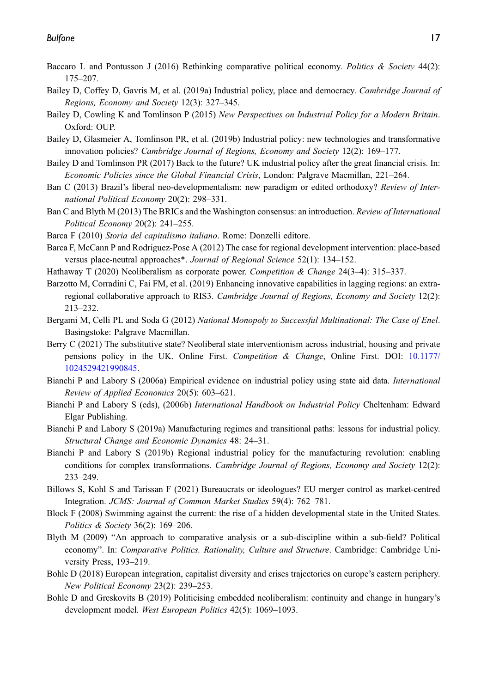- <span id="page-16-6"></span>Baccaro L and Pontusson J (2016) Rethinking comparative political economy. Politics & Society 44(2): 175–207.
- <span id="page-16-20"></span>Bailey D, Coffey D, Gavris M, et al. (2019a) Industrial policy, place and democracy. Cambridge Journal of Regions, Economy and Society 12(3): 327–345.
- <span id="page-16-3"></span>Bailey D, Cowling K and Tomlinson P (2015) New Perspectives on Industrial Policy for a Modern Britain. Oxford: OUP.
- <span id="page-16-1"></span>Bailey D, Glasmeier A, Tomlinson PR, et al. (2019b) Industrial policy: new technologies and transformative innovation policies? Cambridge Journal of Regions, Economy and Society 12(2): 169–177.
- <span id="page-16-15"></span>Bailey D and Tomlinson PR (2017) Back to the future? UK industrial policy after the great financial crisis. In: Economic Policies since the Global Financial Crisis, London: Palgrave Macmillan, 221–264.
- <span id="page-16-4"></span>Ban C (2013) Brazil's liberal neo-developmentalism: new paradigm or edited orthodoxy? Review of International Political Economy 20(2): 298–331.
- <span id="page-16-5"></span>Ban C and Blyth M (2013) The BRICs and the Washington consensus: an introduction. Review of International Political Economy 20(2): 241–255.
- <span id="page-16-9"></span>Barca F (2010) Storia del capitalismo italiano. Rome: Donzelli editore.
- <span id="page-16-16"></span>Barca F, McCann P and Rodríguez-Pose A (2012) The case for regional development intervention: place-based versus place-neutral approaches\*. Journal of Regional Science 52(1): 134–152.
- <span id="page-16-7"></span>Hathaway T (2020) Neoliberalism as corporate power. Competition & Change 24(3–4): 315–337.
- <span id="page-16-17"></span>Barzotto M, Corradini C, Fai FM, et al. (2019) Enhancing innovative capabilities in lagging regions: an extraregional collaborative approach to RIS3. Cambridge Journal of Regions, Economy and Society 12(2): 213–232.
- <span id="page-16-12"></span>Bergami M, Celli PL and Soda G (2012) National Monopoly to Successful Multinational: The Case of Enel. Basingstoke: Palgrave Macmillan.
- <span id="page-16-8"></span>Berry C (2021) The substitutive state? Neoliberal state interventionism across industrial, housing and private pensions policy in the UK. Online First. Competition & Change, Online First. DOI: [10.1177/](https://doi.org/10.1177/1024529421990845) [1024529421990845.](https://doi.org/10.1177/1024529421990845)
- <span id="page-16-10"></span>Bianchi P and Labory S (2006a) Empirical evidence on industrial policy using state aid data. International Review of Applied Economics 20(5): 603–621.
- <span id="page-16-0"></span>Bianchi P and Labory S (eds), (2006b) International Handbook on Industrial Policy Cheltenham: Edward Elgar Publishing.
- <span id="page-16-2"></span>Bianchi P and Labory S (2019a) Manufacturing regimes and transitional paths: lessons for industrial policy. Structural Change and Economic Dynamics 48: 24–31.
- <span id="page-16-18"></span>Bianchi P and Labory S (2019b) Regional industrial policy for the manufacturing revolution: enabling conditions for complex transformations. Cambridge Journal of Regions, Economy and Society 12(2): 233–249.
- <span id="page-16-21"></span>Billows S, Kohl S and Tarissan F (2021) Bureaucrats or ideologues? EU merger control as market-centred Integration. JCMS: Journal of Common Market Studies 59(4): 762–781.
- <span id="page-16-11"></span>Block F (2008) Swimming against the current: the rise of a hidden developmental state in the United States. Politics & Society 36(2): 169–206.
- <span id="page-16-19"></span>Blyth M (2009) "An approach to comparative analysis or a sub-discipline within a sub-field? Political economy". In: *Comparative Politics. Rationality, Culture and Structure.* Cambridge: Cambridge University Press, 193–219.
- <span id="page-16-13"></span>Bohle D (2018) European integration, capitalist diversity and crises trajectories on europe's eastern periphery. New Political Economy 23(2): 239–253.
- <span id="page-16-14"></span>Bohle D and Greskovits B (2019) Politicising embedded neoliberalism: continuity and change in hungary's development model. West European Politics 42(5): 1069–1093.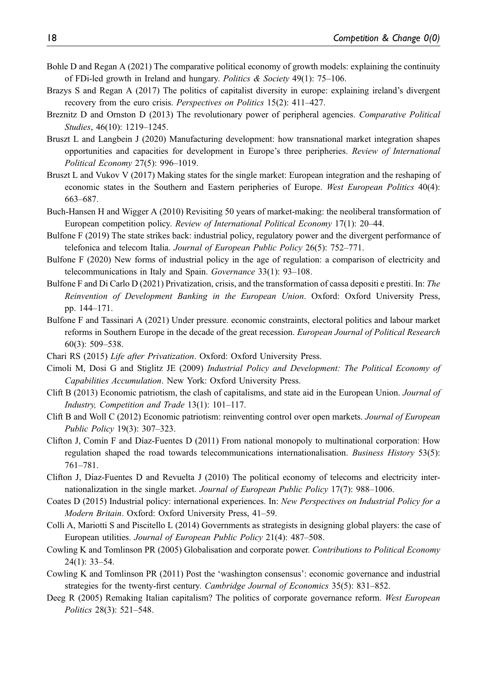- <span id="page-17-2"></span>Bohle D and Regan A (2021) The comparative political economy of growth models: explaining the continuity of FDi-led growth in Ireland and hungary. Politics & Society 49(1): 75–106.
- <span id="page-17-3"></span>Brazys S and Regan A (2017) The politics of capitalist diversity in europe: explaining ireland's divergent recovery from the euro crisis. Perspectives on Politics 15(2): 411–427.
- <span id="page-17-18"></span>Breznitz D and Ornston D (2013) The revolutionary power of peripheral agencies. Comparative Political Studies, 46(10): 1219–1245.
- <span id="page-17-19"></span>Bruszt L and Langbein J (2020) Manufacturing development: how transnational market integration shapes opportunities and capacities for development in Europe's three peripheries. Review of International Political Economy 27(5): 996–1019.
- <span id="page-17-17"></span>Bruszt L and Vukov V (2017) Making states for the single market: European integration and the reshaping of economic states in the Southern and Eastern peripheries of Europe. West European Politics 40(4): 663–687.
- <span id="page-17-8"></span>Buch-Hansen H and Wigger A (2010) Revisiting 50 years of market-making: the neoliberal transformation of European competition policy. Review of International Political Economy 17(1): 20–44.
- <span id="page-17-12"></span>Bulfone F (2019) The state strikes back: industrial policy, regulatory power and the divergent performance of telefonica and telecom Italia. Journal of European Public Policy 26(5): 752–771.
- <span id="page-17-13"></span>Bulfone F (2020) New forms of industrial policy in the age of regulation: a comparison of electricity and telecommunications in Italy and Spain. Governance 33(1): 93–108.
- <span id="page-17-16"></span>Bulfone F and Di Carlo D (2021) Privatization, crisis, and the transformation of cassa depositi e prestiti. In: The Reinvention of Development Banking in the European Union. Oxford: Oxford University Press, pp. 144–171.
- <span id="page-17-20"></span>Bulfone F and Tassinari A (2021) Under pressure. economic constraints, electoral politics and labour market reforms in Southern Europe in the decade of the great recession. European Journal of Political Research 60(3): 509–538.
- <span id="page-17-15"></span>Chari RS (2015) Life after Privatization. Oxford: Oxford University Press.
- <span id="page-17-0"></span>Cimoli M, Dosi G and Stiglitz JE (2009) Industrial Policy and Development: The Political Economy of Capabilities Accumulation. New York: Oxford University Press.
- <span id="page-17-10"></span>Clift B (2013) Economic patriotism, the clash of capitalisms, and state aid in the European Union. Journal of Industry, Competition and Trade 13(1): 101–117.
- <span id="page-17-1"></span>Clift B and Woll C (2012) Economic patriotism: reinventing control over open markets. Journal of European Public Policy 19(3): 307–323.
- <span id="page-17-14"></span>Clifton J, Comín F and Díaz-Fuentes D (2011) From national monopoly to multinational corporation: How regulation shaped the road towards telecommunications internationalisation. Business History 53(5): 761–781.
- <span id="page-17-4"></span>Clifton J, Díaz-Fuentes D and Revuelta J  $(2010)$  The political economy of telecoms and electricity internationalization in the single market. Journal of European Public Policy 17(7): 988–1006.
- <span id="page-17-11"></span>Coates D (2015) Industrial policy: international experiences. In: New Perspectives on Industrial Policy for a Modern Britain. Oxford: Oxford University Press, 41–59.
- <span id="page-17-5"></span>Colli A, Mariotti S and Piscitello L (2014) Governments as strategists in designing global players: the case of European utilities. Journal of European Public Policy 21(4): 487–508.
- <span id="page-17-7"></span>Cowling K and Tomlinson PR (2005) Globalisation and corporate power. Contributions to Political Economy 24(1): 33–54.
- <span id="page-17-6"></span>Cowling K and Tomlinson PR (2011) Post the 'washington consensus': economic governance and industrial strategies for the twenty-first century. Cambridge Journal of Economics 35(5): 831–852.
- <span id="page-17-9"></span>Deeg R (2005) Remaking Italian capitalism? The politics of corporate governance reform. West European Politics 28(3): 521–548.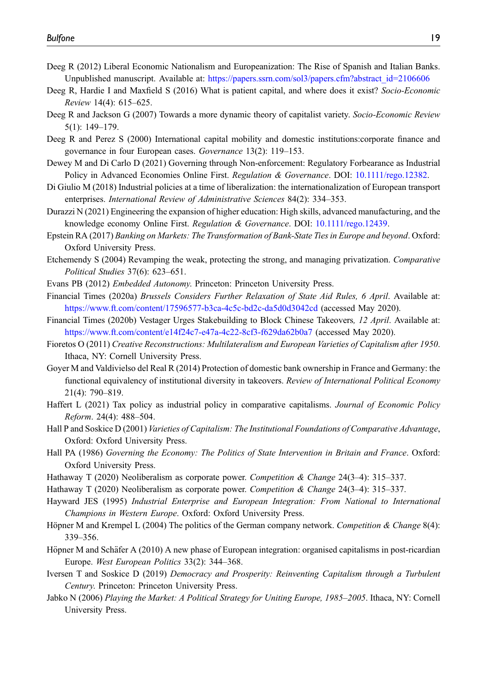- <span id="page-18-19"></span>Deeg R (2012) Liberal Economic Nationalism and Europeanization: The Rise of Spanish and Italian Banks. Unpublished manuscript. Available at: [https://papers.ssrn.com/sol3/papers.cfm?abstract\\_id=2106606](https://papers.ssrn.com/sol3/papers.cfm?abstract_id=2106606)
- <span id="page-18-23"></span>Deeg R, Hardie I and Maxfield S (2016) What is patient capital, and where does it exist? Socio-Economic Review 14(4): 615–625.
- <span id="page-18-22"></span>Deeg R and Jackson G (2007) Towards a more dynamic theory of capitalist variety. Socio-Economic Review 5(1): 149–179.
- <span id="page-18-18"></span>Deeg R and Perez S (2000) International capital mobility and domestic institutions:corporate finance and governance in four European cases. Governance 13(2): 119–153.
- <span id="page-18-13"></span>Dewey M and Di Carlo D (2021) Governing through Non-enforcement: Regulatory Forbearance as Industrial Policy in Advanced Economies Online First. Regulation & Governance. DOI: [10.1111/rego.12382.](https://doi.org/10.1111/rego.12382)
- <span id="page-18-9"></span>Di Giulio M (2018) Industrial policies at a time of liberalization: the internationalization of European transport enterprises. International Review of Administrative Sciences 84(2): 334–353.
- <span id="page-18-3"></span>Durazzi N (2021) Engineering the expansion of higher education: High skills, advanced manufacturing, and the knowledge economy Online First. Regulation & Governance. DOI: [10.1111/rego.12439](https://doi.org/10.1111/rego.12439).
- <span id="page-18-20"></span>Epstein RA (2017) Banking on Markets: The Transformation of Bank-State Ties in Europe and beyond. Oxford: Oxford University Press.
- <span id="page-18-15"></span>Etchemendy S (2004) Revamping the weak, protecting the strong, and managing privatization. Comparative Political Studies 37(6): 623–651.
- <span id="page-18-6"></span><span id="page-18-0"></span>Evans PB (2012) Embedded Autonomy. Princeton: Princeton University Press.
- Financial Times (2020a) Brussels Considers Further Relaxation of State Aid Rules, 6 April. Available at: <https://www.ft.com/content/17596577-b3ca-4c5c-bd2c-da5d0d3042cd> (accessed May 2020).
- <span id="page-18-1"></span>Financial Times (2020b) Vestager Urges Stakebuilding to Block Chinese Takeovers, 12 April. Available at: <https://www.ft.com/content/e14f24c7-e47a-4c22-8cf3-f629da62b0a7> (accessed May 2020).
- <span id="page-18-17"></span>Fioretos O (2011) Creative Reconstructions: Multilateralism and European Varieties of Capitalism after 1950. Ithaca, NY: Cornell University Press.
- <span id="page-18-16"></span>Goyer M and Valdivielso del Real R (2014) Protection of domestic bank ownership in France and Germany: the functional equivalency of institutional diversity in takeovers. Review of International Political Economy 21(4): 790–819.
- <span id="page-18-14"></span>Haffert L (2021) Tax policy as industrial policy in comparative capitalisms. Journal of Economic Policy Reform. 24(4): 488–504.
- <span id="page-18-4"></span>Hall P and Soskice D (2001) Varieties of Capitalism: The Institutional Foundations of Comparative Advantage, Oxford: Oxford University Press.
- <span id="page-18-2"></span>Hall PA (1986) Governing the Economy: The Politics of State Intervention in Britain and France. Oxford: Oxford University Press.
- <span id="page-18-21"></span><span id="page-18-5"></span>Hathaway T (2020) Neoliberalism as corporate power. Competition & Change 24(3–4): 315–337.
- <span id="page-18-12"></span>Hathaway T (2020) Neoliberalism as corporate power. Competition & Change 24(3–4): 315–337.
- Hayward JES (1995) Industrial Enterprise and European Integration: From National to International Champions in Western Europe. Oxford: Oxford University Press.
- <span id="page-18-11"></span>Höpner M and Krempel L (2004) The politics of the German company network. Competition & Change 8(4): 339–356.
- <span id="page-18-10"></span>Höpner M and Schäfer A (2010) A new phase of European integration: organised capitalisms in post-ricardian Europe. West European Politics 33(2): 344–368.
- <span id="page-18-7"></span>Iversen T and Soskice D (2019) Democracy and Prosperity: Reinventing Capitalism through a Turbulent Century. Princeton: Princeton University Press.
- <span id="page-18-8"></span>Jabko N (2006) Playing the Market: A Political Strategy for Uniting Europe, 1985–2005. Ithaca, NY: Cornell University Press.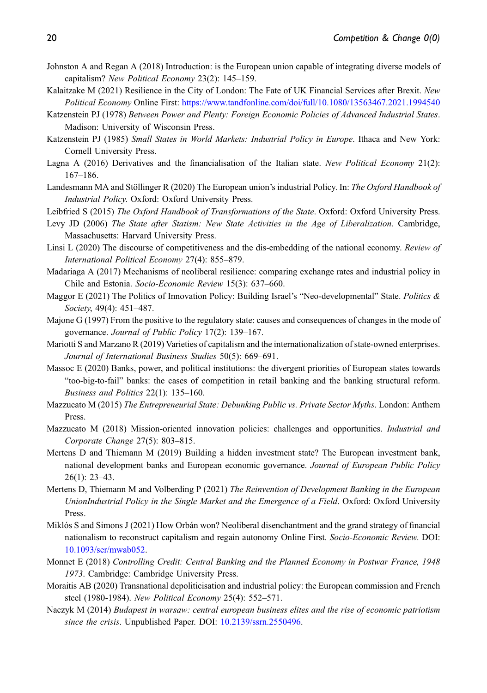- <span id="page-19-19"></span>Johnston A and Regan A (2018) Introduction: is the European union capable of integrating diverse models of capitalism? New Political Economy 23(2): 145–159.
- <span id="page-19-18"></span>Kalaitzake M (2021) Resilience in the City of London: The Fate of UK Financial Services after Brexit. New Political Economy Online First: <https://www.tandfonline.com/doi/full/10.1080/13563467.2021.1994540>
- <span id="page-19-0"></span>Katzenstein PJ (1978) Between Power and Plenty: Foreign Economic Policies of Advanced Industrial States. Madison: University of Wisconsin Press.
- <span id="page-19-1"></span>Katzenstein PJ (1985) Small States in World Markets: Industrial Policy in Europe. Ithaca and New York: Cornell University Press.
- <span id="page-19-11"></span>Lagna A (2016) Derivatives and the financialisation of the Italian state. New Political Economy 21(2): 167–186.
- <span id="page-19-5"></span>Landesmann MA and Stöllinger R (2020) The European union's industrial Policy. In: The Oxford Handbook of Industrial Policy. Oxford: Oxford University Press.
- <span id="page-19-2"></span>Leibfried S (2015) The Oxford Handbook of Transformations of the State. Oxford: Oxford University Press.
- <span id="page-19-3"></span>Levy JD (2006) The State after Statism: New State Activities in the Age of Liberalization. Cambridge, Massachusetts: Harvard University Press.
- <span id="page-19-7"></span>Linsi L (2020) The discourse of competitiveness and the dis-embedding of the national economy. Review of International Political Economy 27(4): 855–879.
- <span id="page-19-14"></span>Madariaga A (2017) Mechanisms of neoliberal resilience: comparing exchange rates and industrial policy in Chile and Estonia. Socio-Economic Review 15(3): 637–660.
- <span id="page-19-6"></span>Maggor E (2021) The Politics of Innovation Policy: Building Israel's "Neo-developmental" State. Politics & Society, 49(4): 451-487.
- <span id="page-19-9"></span>Majone G (1997) From the positive to the regulatory state: causes and consequences of changes in the mode of governance. Journal of Public Policy 17(2): 139–167.
- <span id="page-19-13"></span>Mariotti S and Marzano R (2019) Varieties of capitalism and the internationalization of state-owned enterprises. Journal of International Business Studies 50(5): 669–691.
- <span id="page-19-15"></span>Massoc E (2020) Banks, power, and political institutions: the divergent priorities of European states towards "too-big-to-fail" banks: the cases of competition in retail banking and the banking structural reform. Business and Politics 22(1): 135–160.
- <span id="page-19-21"></span>Mazzucato M (2015) The Entrepreneurial State: Debunking Public vs. Private Sector Myths. London: Anthem Press.
- <span id="page-19-20"></span>Mazzucato M (2018) Mission-oriented innovation policies: challenges and opportunities. *Industrial and* Corporate Change 27(5): 803–815.
- <span id="page-19-12"></span>Mertens D and Thiemann M (2019) Building a hidden investment state? The European investment bank, national development banks and European economic governance. Journal of European Public Policy 26(1): 23–43.
- <span id="page-19-4"></span>Mertens D, Thiemann M and Volberding P (2021) The Reinvention of Development Banking in the European UnionIndustrial Policy in the Single Market and the Emergence of a Field. Oxford: Oxford University Press.
- <span id="page-19-16"></span>Miklós S and Simons J (2021) How Orbán won? Neoliberal disenchantment and the grand strategy of financial nationalism to reconstruct capitalism and regain autonomy Online First. Socio-Economic Review. DOI: [10.1093/ser/mwab052.](https://doi.org/10.1093/ser/mwab052)
- <span id="page-19-8"></span>Monnet E (2018) Controlling Credit: Central Banking and the Planned Economy in Postwar France, 1948 1973. Cambridge: Cambridge University Press.
- <span id="page-19-10"></span>Moraitis AB (2020) Transnational depoliticisation and industrial policy: the European commission and French steel (1980-1984). New Political Economy 25(4): 552–571.
- <span id="page-19-17"></span>Naczyk M (2014) Budapest in warsaw: central european business elites and the rise of economic patriotism since the crisis. Unpublished Paper. DOI: [10.2139/ssrn.2550496.](https://doi.org/10.2139/ssrn.2550496)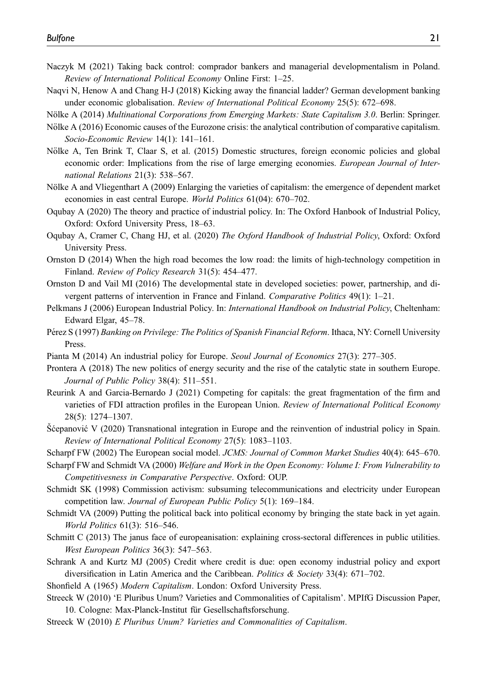- <span id="page-20-20"></span>Naczyk M (2021) Taking back control: comprador bankers and managerial developmentalism in Poland. Review of International Political Economy Online First: 1–25.
- <span id="page-20-6"></span>Naqvi N, Henow A and Chang H-J (2018) Kicking away the financial ladder? German development banking under economic globalisation. Review of International Political Economy 25(5): 672–698.
- <span id="page-20-15"></span><span id="page-20-2"></span>Nölke A (2014) Multinational Corporations from Emerging Markets: State Capitalism 3.0. Berlin: Springer.
- Nölke A (2016) Economic causes of the Eurozone crisis: the analytical contribution of comparative capitalism. Socio-Economic Review 14(1): 141–161.
- <span id="page-20-4"></span>Nölke A, Ten Brink T, Claar S, et al. (2015) Domestic structures, foreign economic policies and global economic order: Implications from the rise of large emerging economies. *European Journal of Inter*national Relations 21(3): 538–567.
- <span id="page-20-19"></span>Nölke A and Vliegenthart A (2009) Enlarging the varieties of capitalism: the emergence of dependent market economies in east central Europe. World Politics 61(04): 670–702.
- <span id="page-20-1"></span>Oqubay A (2020) The theory and practice of industrial policy. In: The Oxford Hanbook of Industrial Policy, Oxford: Oxford University Press, 18–63.
- <span id="page-20-23"></span>Oqubay A, Cramer C, Chang HJ, et al. (2020) The Oxford Handbook of Industrial Policy, Oxford: Oxford University Press.
- <span id="page-20-22"></span>Ornston D (2014) When the high road becomes the low road: the limits of high-technology competition in Finland. Review of Policy Research 31(5): 454–477.
- <span id="page-20-7"></span>Ornston D and Vail MI (2016) The developmental state in developed societies: power, partnership, and divergent patterns of intervention in France and Finland. Comparative Politics 49(1): 1–21.
- <span id="page-20-11"></span>Pelkmans J (2006) European Industrial Policy. In: *International Handbook on Industrial Policy*, Cheltenham: Edward Elgar, 45–78.
- <span id="page-20-13"></span>Pérez S (1997) Banking on Privilege: The Politics of Spanish Financial Reform. Ithaca, NY: Cornell University Press.
- <span id="page-20-10"></span>Pianta M (2014) An industrial policy for Europe. Seoul Journal of Economics 27(3): 277–305.
- <span id="page-20-18"></span>Prontera A (2018) The new politics of energy security and the rise of the catalytic state in southern Europe. Journal of Public Policy 38(4): 511–551.
- <span id="page-20-14"></span>Reurink A and Garcia-Bernardo J (2021) Competing for capitals: the great fragmentation of the firm and varieties of FDI attraction profiles in the European Union. Review of International Political Economy 28(5): 1274–1307.
- <span id="page-20-21"></span>Sćepanović V (2020) Transnational integration in Europe and the reinvention of industrial policy in Spain. Review of International Political Economy 27(5): 1083–1103.
- <span id="page-20-12"></span><span id="page-20-9"></span>Scharpf FW (2002) The European social model. JCMS: Journal of Common Market Studies 40(4): 645–670.
- Scharpf FW and Schmidt VA (2000) Welfare and Work in the Open Economy: Volume I: From Vulnerability to Competitivesness in Comparative Perspective. Oxford: OUP.
- <span id="page-20-16"></span>Schmidt SK (1998) Commission activism: subsuming telecommunications and electricity under European competition law. Journal of European Public Policy 5(1): 169–184.
- <span id="page-20-8"></span>Schmidt VA (2009) Putting the political back into political economy by bringing the state back in yet again. World Politics 61(3): 516–546.
- <span id="page-20-17"></span>Schmitt C (2013) The janus face of europeanisation: explaining cross-sectoral differences in public utilities. West European Politics 36(3): 547–563.
- <span id="page-20-5"></span>Schrank A and Kurtz MJ (2005) Credit where credit is due: open economy industrial policy and export diversification in Latin America and the Caribbean. Politics & Society 33(4): 671–702.
- <span id="page-20-0"></span>Shonfield A (1965) Modern Capitalism. London: Oxford University Press.
- Streeck W (2010) 'E Pluribus Unum? Varieties and Commonalities of Capitalism'. MPIfG Discussion Paper, 10. Cologne: Max-Planck-Institut für Gesellschaftsforschung.
- <span id="page-20-3"></span>Streeck W (2010) E Pluribus Unum? Varieties and Commonalities of Capitalism.